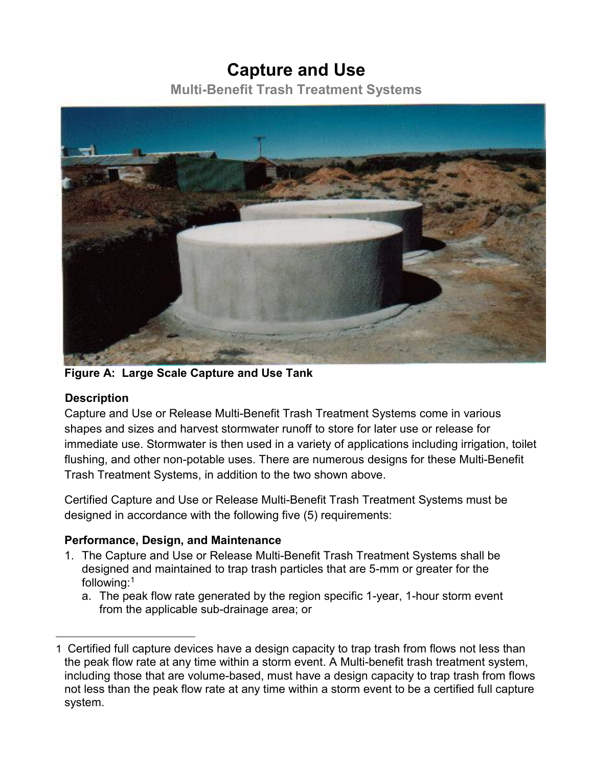## **Capture and Use**

**Multi-Benefit Trash Treatment Systems**



**Figure A: Large Scale Capture and Use Tank**

## **Description**

 $\overline{a}$ 

Capture and Use or Release Multi-Benefit Trash Treatment Systems come in various shapes and sizes and harvest stormwater runoff to store for later use or release for immediate use. Stormwater is then used in a variety of applications including irrigation, toilet flushing, and other non-potable uses. There are numerous designs for these Multi-Benefit Trash Treatment Systems, in addition to the two shown above.

Certified Capture and Use or Release Multi-Benefit Trash Treatment Systems must be designed in accordance with the following five (5) requirements:

## **Performance, Design, and Maintenance**

- 1. The Capture and Use or Release Multi-Benefit Trash Treatment Systems shall be designed and maintained to trap trash particles that are 5-mm or greater for the following:[1](#page-0-0)
	- a. The peak flow rate generated by the region specific 1-year, 1-hour storm event from the applicable sub-drainage area; or

<span id="page-0-0"></span><sup>1</sup> Certified full capture devices have a design capacity to trap trash from flows not less than the peak flow rate at any time within a storm event. A Multi-benefit trash treatment system, including those that are volume-based, must have a design capacity to trap trash from flows not less than the peak flow rate at any time within a storm event to be a certified full capture system.